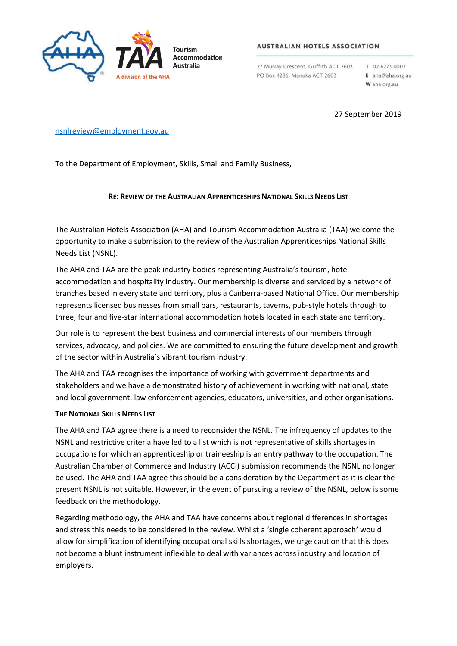

## **AUSTRALIAN HOTELS ASSOCIATION**

27 Murray Crescent, Griffith ACT 2603 PO Box 4286, Manuka ACT 2603

T 02 6273 4007 E aha@aha.org.au W aha.org.au

27 September 2019

## [nsnlreview@employment.gov.au](mailto:nsnlreview@employment.gov.au)

To the Department of Employment, Skills, Small and Family Business,

## **RE: REVIEW OF THE AUSTRALIAN APPRENTICESHIPS NATIONAL SKILLS NEEDS LIST**

The Australian Hotels Association (AHA) and Tourism Accommodation Australia (TAA) welcome the opportunity to make a submission to the review of the Australian Apprenticeships National Skills Needs List (NSNL).

The AHA and TAA are the peak industry bodies representing Australia's tourism, hotel accommodation and hospitality industry. Our membership is diverse and serviced by a network of branches based in every state and territory, plus a Canberra-based National Office. Our membership represents licensed businesses from small bars, restaurants, taverns, pub-style hotels through to three, four and five-star international accommodation hotels located in each state and territory.

Our role is to represent the best business and commercial interests of our members through services, advocacy, and policies. We are committed to ensuring the future development and growth of the sector within Australia's vibrant tourism industry.

The AHA and TAA recognises the importance of working with government departments and stakeholders and we have a demonstrated history of achievement in working with national, state and local government, law enforcement agencies, educators, universities, and other organisations.

## **THE NATIONAL SKILLS NEEDS LIST**

The AHA and TAA agree there is a need to reconsider the NSNL. The infrequency of updates to the NSNL and restrictive criteria have led to a list which is not representative of skills shortages in occupations for which an apprenticeship or traineeship is an entry pathway to the occupation. The Australian Chamber of Commerce and Industry (ACCI) submission recommends the NSNL no longer be used. The AHA and TAA agree this should be a consideration by the Department as it is clear the present NSNL is not suitable. However, in the event of pursuing a review of the NSNL, below is some feedback on the methodology.

Regarding methodology, the AHA and TAA have concerns about regional differences in shortages and stress this needs to be considered in the review. Whilst a 'single coherent approach' would allow for simplification of identifying occupational skills shortages, we urge caution that this does not become a blunt instrument inflexible to deal with variances across industry and location of employers.